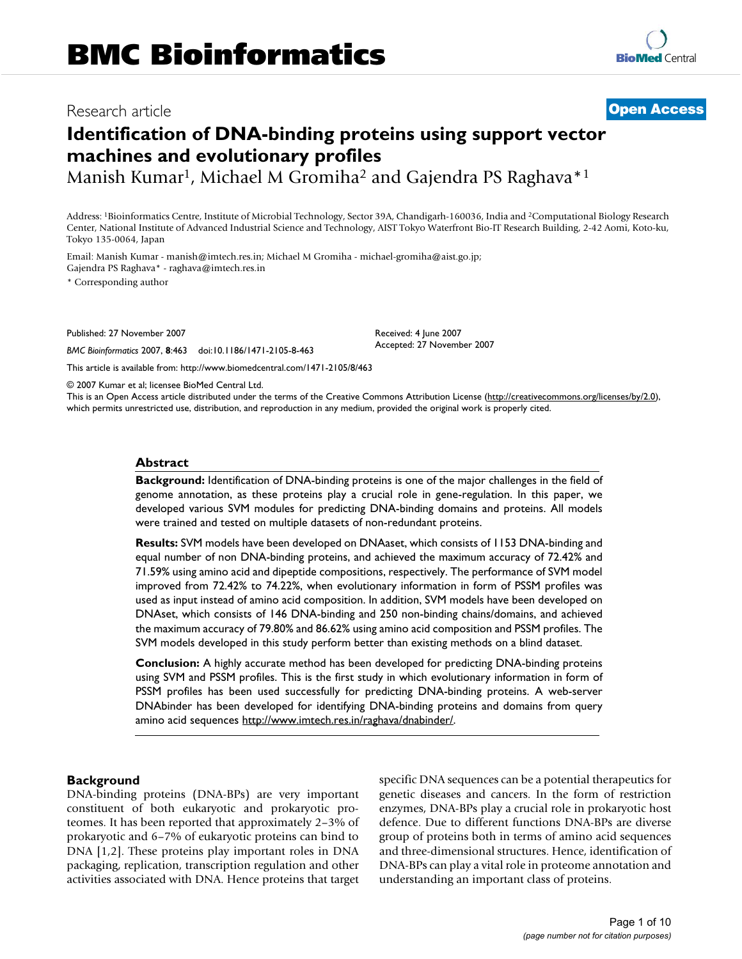# Research article **[Open Access](http://www.biomedcentral.com/info/about/charter/)**

# **Identification of DNA-binding proteins using support vector machines and evolutionary profiles**

Manish Kumar<sup>1</sup>, Michael M Gromiha<sup>2</sup> and Gajendra PS Raghava<sup>\*1</sup>

Address: <sup>1</sup>Bioinformatics Centre, Institute of Microbial Technology, Sector 39A, Chandigarh-160036, India and <sup>2</sup>Computational Biology Research Center, National Institute of Advanced Industrial Science and Technology, AIST Tokyo Waterfront Bio-IT Research Building, 2-42 Aomi, Koto-ku, Tokyo 135-0064, Japan

Email: Manish Kumar - manish@imtech.res.in; Michael M Gromiha - michael-gromiha@aist.go.jp; Gajendra PS Raghava\* - raghava@imtech.res.in

\* Corresponding author

Published: 27 November 2007

*BMC Bioinformatics* 2007, **8**:463 doi:10.1186/1471-2105-8-463

[This article is available from: http://www.biomedcentral.com/1471-2105/8/463](http://www.biomedcentral.com/1471-2105/8/463)

Received: 4 June 2007 Accepted: 27 November 2007

© 2007 Kumar et al; licensee BioMed Central Ltd.

This is an Open Access article distributed under the terms of the Creative Commons Attribution License [\(http://creativecommons.org/licenses/by/2.0\)](http://creativecommons.org/licenses/by/2.0), which permits unrestricted use, distribution, and reproduction in any medium, provided the original work is properly cited.

#### **Abstract**

**Background:** Identification of DNA-binding proteins is one of the major challenges in the field of genome annotation, as these proteins play a crucial role in gene-regulation. In this paper, we developed various SVM modules for predicting DNA-binding domains and proteins. All models were trained and tested on multiple datasets of non-redundant proteins.

**Results:** SVM models have been developed on DNAaset, which consists of 1153 DNA-binding and equal number of non DNA-binding proteins, and achieved the maximum accuracy of 72.42% and 71.59% using amino acid and dipeptide compositions, respectively. The performance of SVM model improved from 72.42% to 74.22%, when evolutionary information in form of PSSM profiles was used as input instead of amino acid composition. In addition, SVM models have been developed on DNAset, which consists of 146 DNA-binding and 250 non-binding chains/domains, and achieved the maximum accuracy of 79.80% and 86.62% using amino acid composition and PSSM profiles. The SVM models developed in this study perform better than existing methods on a blind dataset.

**Conclusion:** A highly accurate method has been developed for predicting DNA-binding proteins using SVM and PSSM profiles. This is the first study in which evolutionary information in form of PSSM profiles has been used successfully for predicting DNA-binding proteins. A web-server DNAbinder has been developed for identifying DNA-binding proteins and domains from query amino acid sequences <http://www.imtech.res.in/raghava/dnabinder/>.

#### **Background**

DNA-binding proteins (DNA-BPs) are very important constituent of both eukaryotic and prokaryotic proteomes. It has been reported that approximately 2–3% of prokaryotic and 6–7% of eukaryotic proteins can bind to DNA [1,2]. These proteins play important roles in DNA packaging, replication, transcription regulation and other activities associated with DNA. Hence proteins that target specific DNA sequences can be a potential therapeutics for genetic diseases and cancers. In the form of restriction enzymes, DNA-BPs play a crucial role in prokaryotic host defence. Due to different functions DNA-BPs are diverse group of proteins both in terms of amino acid sequences and three-dimensional structures. Hence, identification of DNA-BPs can play a vital role in proteome annotation and understanding an important class of proteins.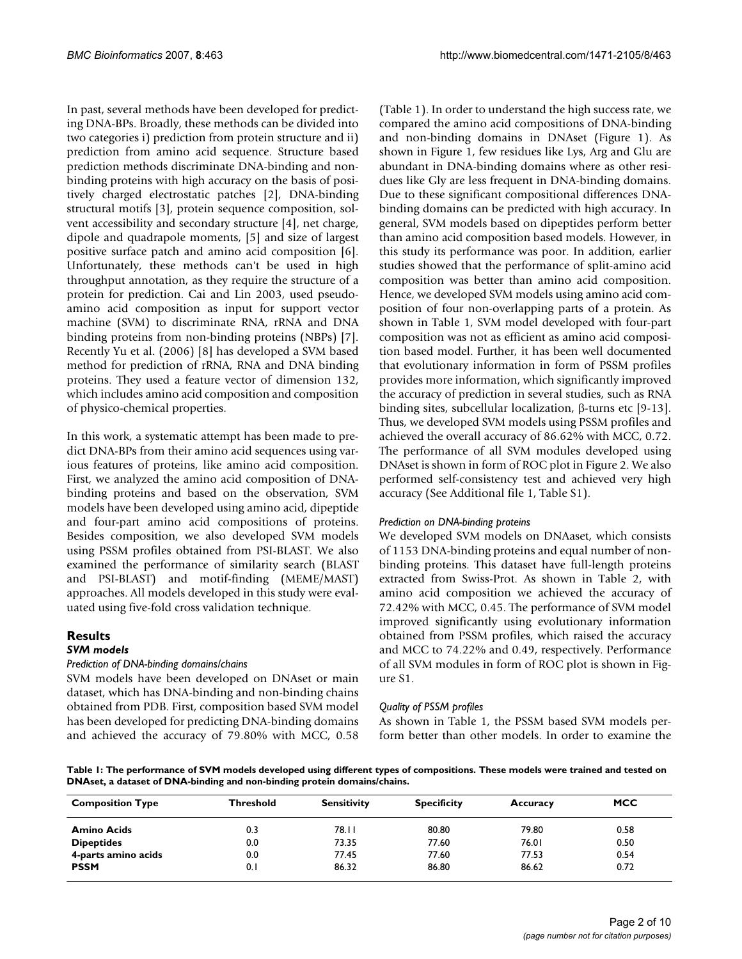In past, several methods have been developed for predicting DNA-BPs. Broadly, these methods can be divided into two categories i) prediction from protein structure and ii) prediction from amino acid sequence. Structure based prediction methods discriminate DNA-binding and nonbinding proteins with high accuracy on the basis of positively charged electrostatic patches [2], DNA-binding structural motifs [3], protein sequence composition, solvent accessibility and secondary structure [4], net charge, dipole and quadrapole moments, [5] and size of largest positive surface patch and amino acid composition [6]. Unfortunately, these methods can't be used in high throughput annotation, as they require the structure of a protein for prediction. Cai and Lin 2003, used pseudoamino acid composition as input for support vector machine (SVM) to discriminate RNA, rRNA and DNA binding proteins from non-binding proteins (NBPs) [7]. Recently Yu et al. (2006) [8] has developed a SVM based method for prediction of rRNA, RNA and DNA binding proteins. They used a feature vector of dimension 132, which includes amino acid composition and composition of physico-chemical properties.

In this work, a systematic attempt has been made to predict DNA-BPs from their amino acid sequences using various features of proteins, like amino acid composition. First, we analyzed the amino acid composition of DNAbinding proteins and based on the observation, SVM models have been developed using amino acid, dipeptide and four-part amino acid compositions of proteins. Besides composition, we also developed SVM models using PSSM profiles obtained from PSI-BLAST. We also examined the performance of similarity search (BLAST and PSI-BLAST) and motif-finding (MEME/MAST) approaches. All models developed in this study were evaluated using five-fold cross validation technique.

#### **Results**

#### *SVM models*

#### *Prediction of DNA-binding domains/chains*

SVM models have been developed on DNAset or main dataset, which has DNA-binding and non-binding chains obtained from PDB. First, composition based SVM model has been developed for predicting DNA-binding domains and achieved the accuracy of 79.80% with MCC, 0.58 (Table 1). In order to understand the high success rate, we compared the amino acid compositions of DNA-binding and non-binding domains in DNAset (Figure 1). As shown in Figure 1, few residues like Lys, Arg and Glu are abundant in DNA-binding domains where as other residues like Gly are less frequent in DNA-binding domains. Due to these significant compositional differences DNAbinding domains can be predicted with high accuracy. In general, SVM models based on dipeptides perform better than amino acid composition based models. However, in this study its performance was poor. In addition, earlier studies showed that the performance of split-amino acid composition was better than amino acid composition. Hence, we developed SVM models using amino acid composition of four non-overlapping parts of a protein. As shown in Table 1, SVM model developed with four-part composition was not as efficient as amino acid composition based model. Further, it has been well documented that evolutionary information in form of PSSM profiles provides more information, which significantly improved the accuracy of prediction in several studies, such as RNA binding sites, subcellular localization, β-turns etc [9-13]. Thus, we developed SVM models using PSSM profiles and achieved the overall accuracy of 86.62% with MCC, 0.72. The performance of all SVM modules developed using DNAset is shown in form of ROC plot in Figure 2. We also performed self-consistency test and achieved very high accuracy (See Additional file 1, Table S1).

#### *Prediction on DNA-binding proteins*

We developed SVM models on DNAaset, which consists of 1153 DNA-binding proteins and equal number of nonbinding proteins. This dataset have full-length proteins extracted from Swiss-Prot. As shown in Table 2, with amino acid composition we achieved the accuracy of 72.42% with MCC, 0.45. The performance of SVM model improved significantly using evolutionary information obtained from PSSM profiles, which raised the accuracy and MCC to 74.22% and 0.49, respectively. Performance of all SVM modules in form of ROC plot is shown in Figure S1.

#### *Quality of PSSM profiles*

As shown in Table 1, the PSSM based SVM models perform better than other models. In order to examine the

**Table 1: The performance of SVM models developed using different types of compositions. These models were trained and tested on DNAset, a dataset of DNA-binding and non-binding protein domains/chains.**

| <b>Composition Type</b> | <b>Threshold</b> | <b>Sensitivity</b> | <b>Specificity</b> | Accuracy | <b>MCC</b> |
|-------------------------|------------------|--------------------|--------------------|----------|------------|
| <b>Amino Acids</b>      | 0.3              | 78.II              | 80.80              | 79.80    | 0.58       |
| <b>Dipeptides</b>       | 0.0              | 73.35              | 77.60              | 76.01    | 0.50       |
| 4-parts amino acids     | 0.0              | 77.45              | 77.60              | 77.53    | 0.54       |
| <b>PSSM</b>             | 0.1              | 86.32              | 86.80              | 86.62    | 0.72       |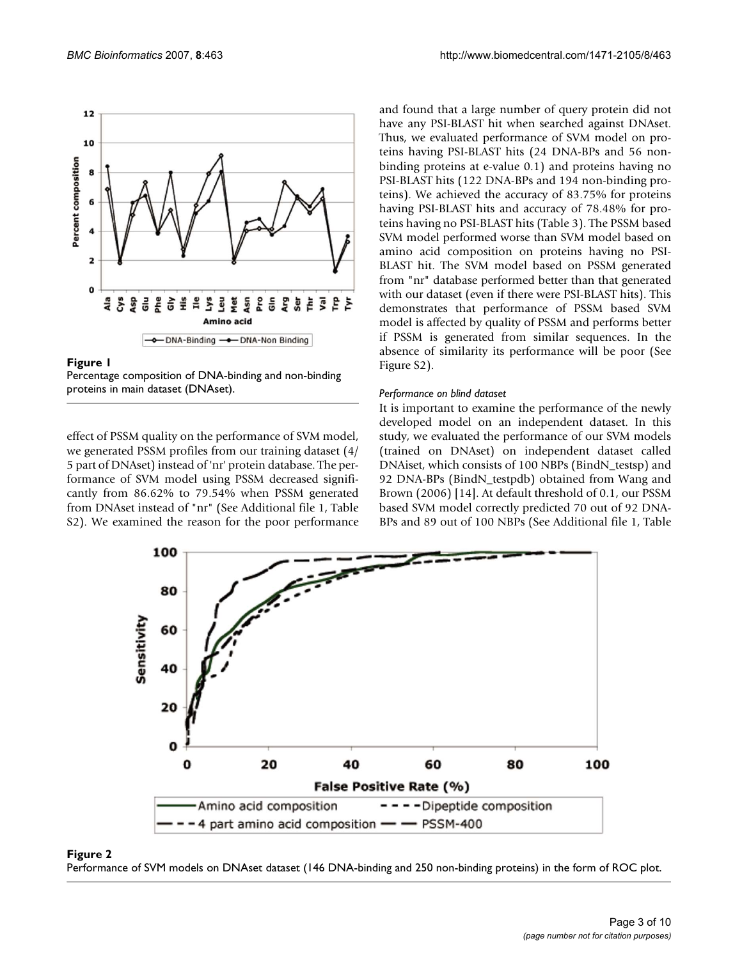

**Figure 1** 



effect of PSSM quality on the performance of SVM model, we generated PSSM profiles from our training dataset (4/ 5 part of DNAset) instead of 'nr' protein database. The performance of SVM model using PSSM decreased significantly from 86.62% to 79.54% when PSSM generated from DNAset instead of "nr" (See Additional file 1, Table S2). We examined the reason for the poor performance and found that a large number of query protein did not have any PSI-BLAST hit when searched against DNAset. Thus, we evaluated performance of SVM model on proteins having PSI-BLAST hits (24 DNA-BPs and 56 nonbinding proteins at e-value 0.1) and proteins having no PSI-BLAST hits (122 DNA-BPs and 194 non-binding proteins). We achieved the accuracy of 83.75% for proteins having PSI-BLAST hits and accuracy of 78.48% for proteins having no PSI-BLAST hits (Table 3). The PSSM based SVM model performed worse than SVM model based on amino acid composition on proteins having no PSI-BLAST hit. The SVM model based on PSSM generated from "nr" database performed better than that generated with our dataset (even if there were PSI-BLAST hits). This demonstrates that performance of PSSM based SVM model is affected by quality of PSSM and performs better if PSSM is generated from similar sequences. In the absence of similarity its performance will be poor (See Figure S2).

#### *Performance on blind dataset*

It is important to examine the performance of the newly developed model on an independent dataset. In this study, we evaluated the performance of our SVM models (trained on DNAset) on independent dataset called DNAiset, which consists of 100 NBPs (BindN\_testsp) and 92 DNA-BPs (BindN\_testpdb) obtained from Wang and Brown (2006) [14]. At default threshold of 0.1, our PSSM based SVM model correctly predicted 70 out of 92 DNA-BPs and 89 out of 100 NBPs (See Additional file 1, Table



#### Performance of SVM models on DNAset dataset (146 DNA-binding and 250 non-bindin **Figure 2** g proteins) in the form of ROC plot

Performance of SVM models on DNAset dataset (146 DNA-binding and 250 non-binding proteins) in the form of ROC plot.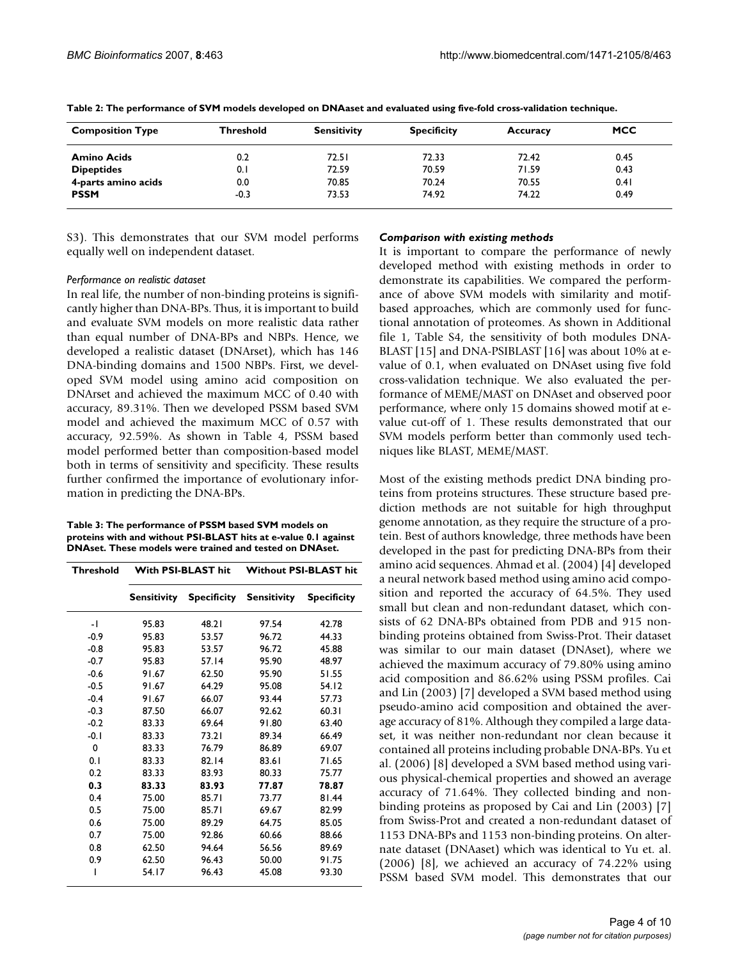| <b>Composition Type</b> | <b>Threshold</b> | <b>Sensitivity</b> | <b>Specificity</b> | <b>Accuracy</b> | <b>MCC</b> |
|-------------------------|------------------|--------------------|--------------------|-----------------|------------|
| <b>Amino Acids</b>      | 0.2              | 72.51              | 72.33              | 72.42           | 0.45       |
| <b>Dipeptides</b>       | 0.1              | 72.59              | 70.59              | 71.59           | 0.43       |
| 4-parts amino acids     | 0.0              | 70.85              | 70.24              | 70.55           | 0.41       |
| <b>PSSM</b>             | $-0.3$           | 73.53              | 74.92              | 74.22           | 0.49       |

**Table 2: The performance of SVM models developed on DNAaset and evaluated using five-fold cross-validation technique.**

S3). This demonstrates that our SVM model performs equally well on independent dataset.

#### *Performance on realistic dataset*

In real life, the number of non-binding proteins is significantly higher than DNA-BPs. Thus, it is important to build and evaluate SVM models on more realistic data rather than equal number of DNA-BPs and NBPs. Hence, we developed a realistic dataset (DNArset), which has 146 DNA-binding domains and 1500 NBPs. First, we developed SVM model using amino acid composition on DNArset and achieved the maximum MCC of 0.40 with accuracy, 89.31%. Then we developed PSSM based SVM model and achieved the maximum MCC of 0.57 with accuracy, 92.59%. As shown in Table 4, PSSM based model performed better than composition-based model both in terms of sensitivity and specificity. These results further confirmed the importance of evolutionary information in predicting the DNA-BPs.

**Table 3: The performance of PSSM based SVM models on proteins with and without PSI-BLAST hits at e-value 0.1 against DNAset. These models were trained and tested on DNAset.**

| <b>Threshold</b>         |                    | With PSI-BLAST hit |                    | <b>Without PSI-BLAST hit</b> |  |
|--------------------------|--------------------|--------------------|--------------------|------------------------------|--|
|                          | <b>Sensitivity</b> | Specificity        | <b>Sensitivity</b> | <b>Specificity</b>           |  |
| $\overline{\phantom{a}}$ | 95.83              | 48.21              | 97.54              | 42.78                        |  |
| $-0.9$                   | 95.83              | 53.57              | 96.72              | 44.33                        |  |
| $-0.8$                   | 95.83              | 53.57              | 96.72              | 45.88                        |  |
| $-0.7$                   | 95.83              | 57.14              | 95.90              | 48.97                        |  |
| $-0.6$                   | 91.67              | 62.50              | 95.90              | 51.55                        |  |
| $-0.5$                   | 91.67              | 64.29              | 95.08              | 54.12                        |  |
| $-0.4$                   | 91.67              | 66.07              | 93.44              | 57.73                        |  |
| $-0.3$                   | 87.50              | 66.07              | 92.62              | 60.31                        |  |
| $-0.2$                   | 83.33              | 69.64              | 91.80              | 63.40                        |  |
| $-0.1$                   | 83.33              | 73.21              | 89.34              | 66.49                        |  |
| 0                        | 83.33              | 76.79              | 86.89              | 69.07                        |  |
| 0.1                      | 83.33              | 82.14              | 83.61              | 71.65                        |  |
| 0.2                      | 83.33              | 83.93              | 80.33              | 75.77                        |  |
| 0.3                      | 83.33              | 83.93              | 77.87              | 78.87                        |  |
| 0.4                      | 75.00              | 85.71              | 73.77              | 81.44                        |  |
| 0.5                      | 75.00              | 85.71              | 69.67              | 82.99                        |  |
| 0.6                      | 75.00              | 89.29              | 64.75              | 85.05                        |  |
| 0.7                      | 75.00              | 92.86              | 60.66              | 88.66                        |  |
| 0.8                      | 62.50              | 94.64              | 56.56              | 89.69                        |  |
| 0.9                      | 62.50              | 96.43              | 50.00              | 91.75                        |  |
| ı                        | 54.17              | 96.43              | 45.08              | 93.30                        |  |

#### *Comparison with existing methods*

It is important to compare the performance of newly developed method with existing methods in order to demonstrate its capabilities. We compared the performance of above SVM models with similarity and motifbased approaches, which are commonly used for functional annotation of proteomes. As shown in Additional file 1, Table S4, the sensitivity of both modules DNA-BLAST [15] and DNA-PSIBLAST [16] was about 10% at evalue of 0.1, when evaluated on DNAset using five fold cross-validation technique. We also evaluated the performance of MEME/MAST on DNAset and observed poor performance, where only 15 domains showed motif at evalue cut-off of 1. These results demonstrated that our SVM models perform better than commonly used techniques like BLAST, MEME/MAST.

Most of the existing methods predict DNA binding proteins from proteins structures. These structure based prediction methods are not suitable for high throughput genome annotation, as they require the structure of a protein. Best of authors knowledge, three methods have been developed in the past for predicting DNA-BPs from their amino acid sequences. Ahmad et al. (2004) [4] developed a neural network based method using amino acid composition and reported the accuracy of 64.5%. They used small but clean and non-redundant dataset, which consists of 62 DNA-BPs obtained from PDB and 915 nonbinding proteins obtained from Swiss-Prot. Their dataset was similar to our main dataset (DNAset), where we achieved the maximum accuracy of 79.80% using amino acid composition and 86.62% using PSSM profiles. Cai and Lin (2003) [7] developed a SVM based method using pseudo-amino acid composition and obtained the average accuracy of 81%. Although they compiled a large dataset, it was neither non-redundant nor clean because it contained all proteins including probable DNA-BPs. Yu et al. (2006) [8] developed a SVM based method using various physical-chemical properties and showed an average accuracy of 71.64%. They collected binding and nonbinding proteins as proposed by Cai and Lin (2003) [7] from Swiss-Prot and created a non-redundant dataset of 1153 DNA-BPs and 1153 non-binding proteins. On alternate dataset (DNAaset) which was identical to Yu et. al. (2006) [8], we achieved an accuracy of 74.22% using PSSM based SVM model. This demonstrates that our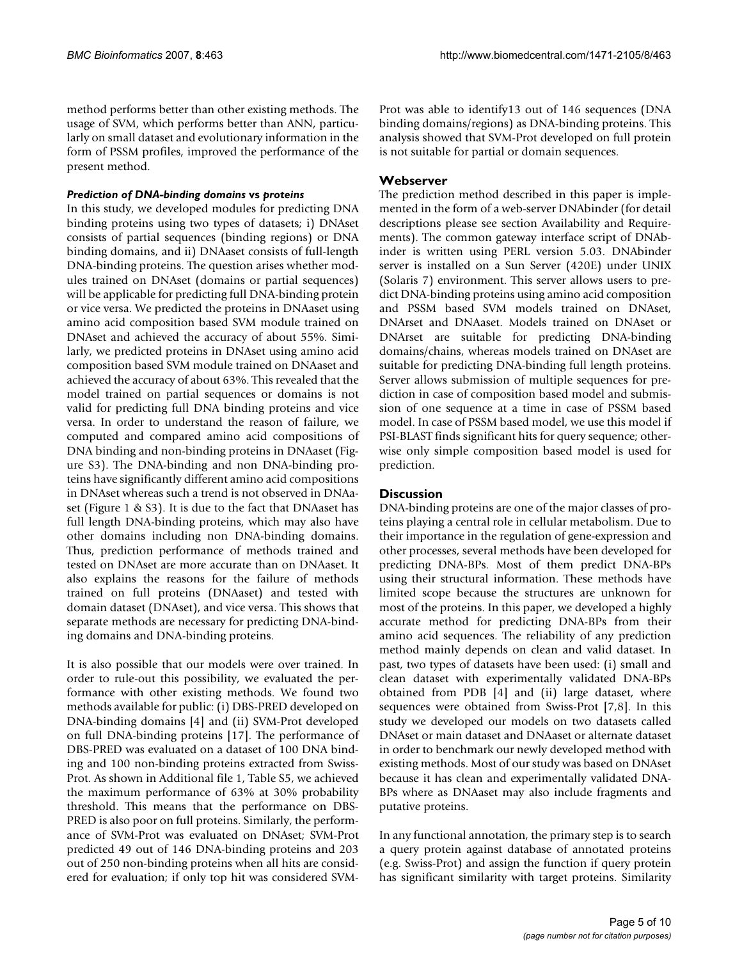method performs better than other existing methods. The usage of SVM, which performs better than ANN, particularly on small dataset and evolutionary information in the form of PSSM profiles, improved the performance of the present method.

#### *Prediction of DNA-binding domains* **vs** *proteins*

In this study, we developed modules for predicting DNA binding proteins using two types of datasets; i) DNAset consists of partial sequences (binding regions) or DNA binding domains, and ii) DNAaset consists of full-length DNA-binding proteins. The question arises whether modules trained on DNAset (domains or partial sequences) will be applicable for predicting full DNA-binding protein or vice versa. We predicted the proteins in DNAaset using amino acid composition based SVM module trained on DNAset and achieved the accuracy of about 55%. Similarly, we predicted proteins in DNAset using amino acid composition based SVM module trained on DNAaset and achieved the accuracy of about 63%. This revealed that the model trained on partial sequences or domains is not valid for predicting full DNA binding proteins and vice versa. In order to understand the reason of failure, we computed and compared amino acid compositions of DNA binding and non-binding proteins in DNAaset (Figure S3). The DNA-binding and non DNA-binding proteins have significantly different amino acid compositions in DNAset whereas such a trend is not observed in DNAaset (Figure 1 & S3). It is due to the fact that DNAaset has full length DNA-binding proteins, which may also have other domains including non DNA-binding domains. Thus, prediction performance of methods trained and tested on DNAset are more accurate than on DNAaset. It also explains the reasons for the failure of methods trained on full proteins (DNAaset) and tested with domain dataset (DNAset), and vice versa. This shows that separate methods are necessary for predicting DNA-binding domains and DNA-binding proteins.

It is also possible that our models were over trained. In order to rule-out this possibility, we evaluated the performance with other existing methods. We found two methods available for public: (i) DBS-PRED developed on DNA-binding domains [4] and (ii) SVM-Prot developed on full DNA-binding proteins [17]. The performance of DBS-PRED was evaluated on a dataset of 100 DNA binding and 100 non-binding proteins extracted from Swiss-Prot. As shown in Additional file 1, Table S5, we achieved the maximum performance of 63% at 30% probability threshold. This means that the performance on DBS-PRED is also poor on full proteins. Similarly, the performance of SVM-Prot was evaluated on DNAset; SVM-Prot predicted 49 out of 146 DNA-binding proteins and 203 out of 250 non-binding proteins when all hits are considered for evaluation; if only top hit was considered SVM-

Prot was able to identify13 out of 146 sequences (DNA binding domains/regions) as DNA-binding proteins. This analysis showed that SVM-Prot developed on full protein is not suitable for partial or domain sequences.

#### **Webserver**

The prediction method described in this paper is implemented in the form of a web-server DNAbinder (for detail descriptions please see section Availability and Requirements). The common gateway interface script of DNAbinder is written using PERL version 5.03. DNAbinder server is installed on a Sun Server (420E) under UNIX (Solaris 7) environment. This server allows users to predict DNA-binding proteins using amino acid composition and PSSM based SVM models trained on DNAset, DNArset and DNAaset. Models trained on DNAset or DNArset are suitable for predicting DNA-binding domains/chains, whereas models trained on DNAset are suitable for predicting DNA-binding full length proteins. Server allows submission of multiple sequences for prediction in case of composition based model and submission of one sequence at a time in case of PSSM based model. In case of PSSM based model, we use this model if PSI-BLAST finds significant hits for query sequence; otherwise only simple composition based model is used for prediction.

#### **Discussion**

DNA-binding proteins are one of the major classes of proteins playing a central role in cellular metabolism. Due to their importance in the regulation of gene-expression and other processes, several methods have been developed for predicting DNA-BPs. Most of them predict DNA-BPs using their structural information. These methods have limited scope because the structures are unknown for most of the proteins. In this paper, we developed a highly accurate method for predicting DNA-BPs from their amino acid sequences. The reliability of any prediction method mainly depends on clean and valid dataset. In past, two types of datasets have been used: (i) small and clean dataset with experimentally validated DNA-BPs obtained from PDB [4] and (ii) large dataset, where sequences were obtained from Swiss-Prot [7,8]. In this study we developed our models on two datasets called DNAset or main dataset and DNAaset or alternate dataset in order to benchmark our newly developed method with existing methods. Most of our study was based on DNAset because it has clean and experimentally validated DNA-BPs where as DNAaset may also include fragments and putative proteins.

In any functional annotation, the primary step is to search a query protein against database of annotated proteins (e.g. Swiss-Prot) and assign the function if query protein has significant similarity with target proteins. Similarity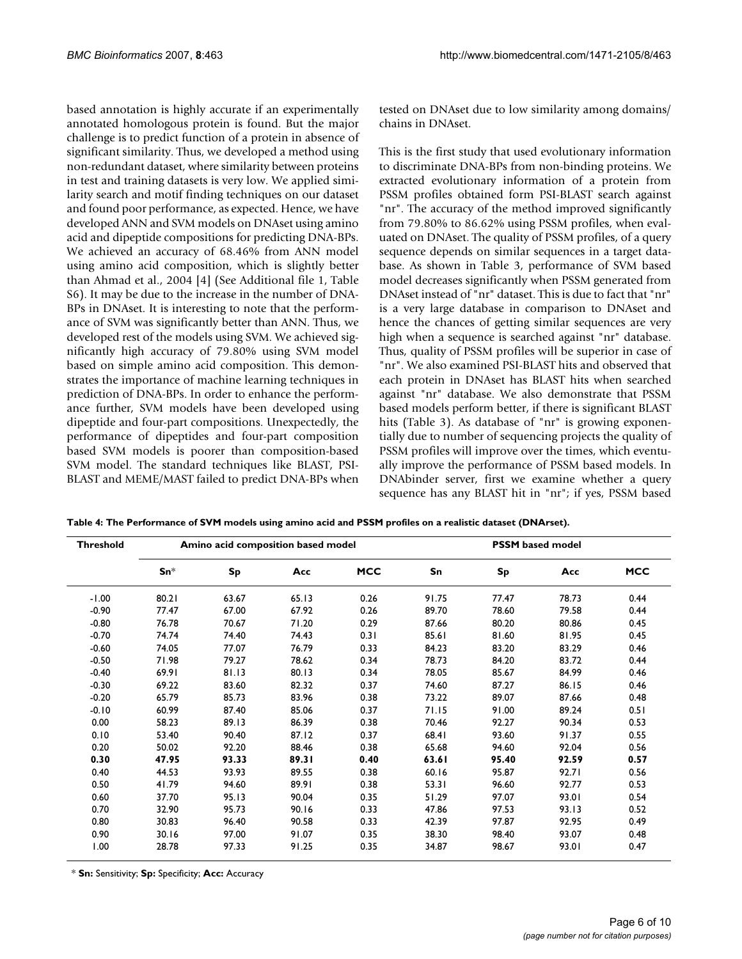based annotation is highly accurate if an experimentally annotated homologous protein is found. But the major challenge is to predict function of a protein in absence of significant similarity. Thus, we developed a method using non-redundant dataset, where similarity between proteins in test and training datasets is very low. We applied similarity search and motif finding techniques on our dataset and found poor performance, as expected. Hence, we have developed ANN and SVM models on DNAset using amino acid and dipeptide compositions for predicting DNA-BPs. We achieved an accuracy of 68.46% from ANN model using amino acid composition, which is slightly better than Ahmad et al., 2004 [4] (See Additional file 1, Table S6). It may be due to the increase in the number of DNA-BPs in DNAset. It is interesting to note that the performance of SVM was significantly better than ANN. Thus, we developed rest of the models using SVM. We achieved significantly high accuracy of 79.80% using SVM model based on simple amino acid composition. This demonstrates the importance of machine learning techniques in prediction of DNA-BPs. In order to enhance the performance further, SVM models have been developed using dipeptide and four-part compositions. Unexpectedly, the performance of dipeptides and four-part composition based SVM models is poorer than composition-based SVM model. The standard techniques like BLAST, PSI-BLAST and MEME/MAST failed to predict DNA-BPs when

tested on DNAset due to low similarity among domains/ chains in DNAset.

This is the first study that used evolutionary information to discriminate DNA-BPs from non-binding proteins. We extracted evolutionary information of a protein from PSSM profiles obtained form PSI-BLAST search against "nr". The accuracy of the method improved significantly from 79.80% to 86.62% using PSSM profiles, when evaluated on DNAset. The quality of PSSM profiles, of a query sequence depends on similar sequences in a target database. As shown in Table 3, performance of SVM based model decreases significantly when PSSM generated from DNAset instead of "nr" dataset. This is due to fact that "nr" is a very large database in comparison to DNAset and hence the chances of getting similar sequences are very high when a sequence is searched against "nr" database. Thus, quality of PSSM profiles will be superior in case of "nr". We also examined PSI-BLAST hits and observed that each protein in DNAset has BLAST hits when searched against "nr" database. We also demonstrate that PSSM based models perform better, if there is significant BLAST hits (Table 3). As database of "nr" is growing exponentially due to number of sequencing projects the quality of PSSM profiles will improve over the times, which eventually improve the performance of PSSM based models. In DNAbinder server, first we examine whether a query sequence has any BLAST hit in "nr"; if yes, PSSM based

| <b>Threshold</b><br>Amino acid composition based model |       |       |       | <b>PSSM based model</b> |       |       |       |            |
|--------------------------------------------------------|-------|-------|-------|-------------------------|-------|-------|-------|------------|
|                                                        | $Sn*$ | Sp    | Acc   | <b>MCC</b>              | Sn    | Sp    | Acc   | <b>MCC</b> |
| $-1.00$                                                | 80.21 | 63.67 | 65.13 | 0.26                    | 91.75 | 77.47 | 78.73 | 0.44       |
| $-0.90$                                                | 77.47 | 67.00 | 67.92 | 0.26                    | 89.70 | 78.60 | 79.58 | 0.44       |
| $-0.80$                                                | 76.78 | 70.67 | 71.20 | 0.29                    | 87.66 | 80.20 | 80.86 | 0.45       |
| $-0.70$                                                | 74.74 | 74.40 | 74.43 | 0.31                    | 85.61 | 81.60 | 81.95 | 0.45       |
| $-0.60$                                                | 74.05 | 77.07 | 76.79 | 0.33                    | 84.23 | 83.20 | 83.29 | 0.46       |
| $-0.50$                                                | 71.98 | 79.27 | 78.62 | 0.34                    | 78.73 | 84.20 | 83.72 | 0.44       |
| $-0.40$                                                | 69.91 | 81.13 | 80.13 | 0.34                    | 78.05 | 85.67 | 84.99 | 0.46       |
| $-0.30$                                                | 69.22 | 83.60 | 82.32 | 0.37                    | 74.60 | 87.27 | 86.15 | 0.46       |
| $-0.20$                                                | 65.79 | 85.73 | 83.96 | 0.38                    | 73.22 | 89.07 | 87.66 | 0.48       |
| $-0.10$                                                | 60.99 | 87.40 | 85.06 | 0.37                    | 71.15 | 91.00 | 89.24 | 0.51       |
| 0.00                                                   | 58.23 | 89.13 | 86.39 | 0.38                    | 70.46 | 92.27 | 90.34 | 0.53       |
| 0.10                                                   | 53.40 | 90.40 | 87.12 | 0.37                    | 68.41 | 93.60 | 91.37 | 0.55       |
| 0.20                                                   | 50.02 | 92.20 | 88.46 | 0.38                    | 65.68 | 94.60 | 92.04 | 0.56       |
| 0.30                                                   | 47.95 | 93.33 | 89.31 | 0.40                    | 63.61 | 95.40 | 92.59 | 0.57       |
| 0.40                                                   | 44.53 | 93.93 | 89.55 | 0.38                    | 60.16 | 95.87 | 92.71 | 0.56       |
| 0.50                                                   | 41.79 | 94.60 | 89.91 | 0.38                    | 53.31 | 96.60 | 92.77 | 0.53       |
| 0.60                                                   | 37.70 | 95.13 | 90.04 | 0.35                    | 51.29 | 97.07 | 93.01 | 0.54       |
| 0.70                                                   | 32.90 | 95.73 | 90.16 | 0.33                    | 47.86 | 97.53 | 93.13 | 0.52       |
| 0.80                                                   | 30.83 | 96.40 | 90.58 | 0.33                    | 42.39 | 97.87 | 92.95 | 0.49       |
| 0.90                                                   | 30.16 | 97.00 | 91.07 | 0.35                    | 38.30 | 98.40 | 93.07 | 0.48       |
| 00.1                                                   | 28.78 | 97.33 | 91.25 | 0.35                    | 34.87 | 98.67 | 93.01 | 0.47       |

\* **Sn:** Sensitivity; **Sp:** Specificity; **Acc:** Accuracy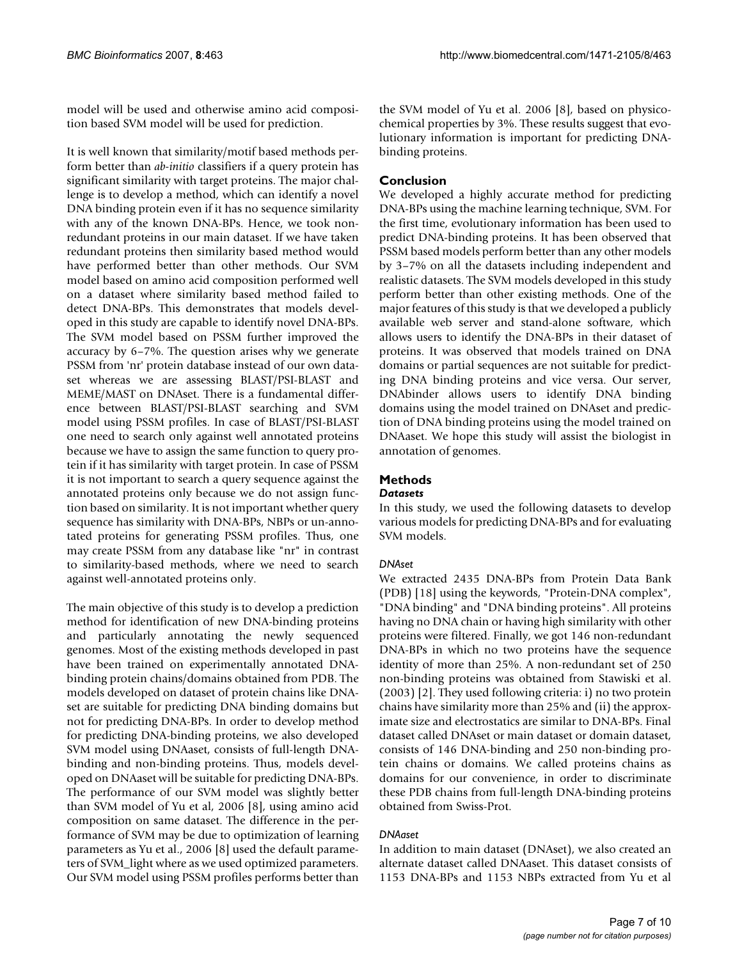model will be used and otherwise amino acid composition based SVM model will be used for prediction.

It is well known that similarity/motif based methods perform better than *ab-initio* classifiers if a query protein has significant similarity with target proteins. The major challenge is to develop a method, which can identify a novel DNA binding protein even if it has no sequence similarity with any of the known DNA-BPs. Hence, we took nonredundant proteins in our main dataset. If we have taken redundant proteins then similarity based method would have performed better than other methods. Our SVM model based on amino acid composition performed well on a dataset where similarity based method failed to detect DNA-BPs. This demonstrates that models developed in this study are capable to identify novel DNA-BPs. The SVM model based on PSSM further improved the accuracy by 6–7%. The question arises why we generate PSSM from 'nr' protein database instead of our own dataset whereas we are assessing BLAST/PSI-BLAST and MEME/MAST on DNAset. There is a fundamental difference between BLAST/PSI-BLAST searching and SVM model using PSSM profiles. In case of BLAST/PSI-BLAST one need to search only against well annotated proteins because we have to assign the same function to query protein if it has similarity with target protein. In case of PSSM it is not important to search a query sequence against the annotated proteins only because we do not assign function based on similarity. It is not important whether query sequence has similarity with DNA-BPs, NBPs or un-annotated proteins for generating PSSM profiles. Thus, one may create PSSM from any database like "nr" in contrast to similarity-based methods, where we need to search against well-annotated proteins only.

The main objective of this study is to develop a prediction method for identification of new DNA-binding proteins and particularly annotating the newly sequenced genomes. Most of the existing methods developed in past have been trained on experimentally annotated DNAbinding protein chains/domains obtained from PDB. The models developed on dataset of protein chains like DNAset are suitable for predicting DNA binding domains but not for predicting DNA-BPs. In order to develop method for predicting DNA-binding proteins, we also developed SVM model using DNAaset, consists of full-length DNAbinding and non-binding proteins. Thus, models developed on DNAaset will be suitable for predicting DNA-BPs. The performance of our SVM model was slightly better than SVM model of Yu et al, 2006 [8], using amino acid composition on same dataset. The difference in the performance of SVM may be due to optimization of learning parameters as Yu et al., 2006 [8] used the default parameters of SVM\_light where as we used optimized parameters. Our SVM model using PSSM profiles performs better than

the SVM model of Yu et al. 2006 [8], based on physicochemical properties by 3%. These results suggest that evolutionary information is important for predicting DNAbinding proteins.

### **Conclusion**

We developed a highly accurate method for predicting DNA-BPs using the machine learning technique, SVM. For the first time, evolutionary information has been used to predict DNA-binding proteins. It has been observed that PSSM based models perform better than any other models by 3–7% on all the datasets including independent and realistic datasets. The SVM models developed in this study perform better than other existing methods. One of the major features of this study is that we developed a publicly available web server and stand-alone software, which allows users to identify the DNA-BPs in their dataset of proteins. It was observed that models trained on DNA domains or partial sequences are not suitable for predicting DNA binding proteins and vice versa. Our server, DNAbinder allows users to identify DNA binding domains using the model trained on DNAset and prediction of DNA binding proteins using the model trained on DNAaset. We hope this study will assist the biologist in annotation of genomes.

## **Methods**

#### *Datasets*

In this study, we used the following datasets to develop various models for predicting DNA-BPs and for evaluating SVM models.

#### *DNAset*

We extracted 2435 DNA-BPs from Protein Data Bank (PDB) [18] using the keywords, "Protein-DNA complex", "DNA binding" and "DNA binding proteins". All proteins having no DNA chain or having high similarity with other proteins were filtered. Finally, we got 146 non-redundant DNA-BPs in which no two proteins have the sequence identity of more than 25%. A non-redundant set of 250 non-binding proteins was obtained from Stawiski et al. (2003) [2]. They used following criteria: i) no two protein chains have similarity more than 25% and (ii) the approximate size and electrostatics are similar to DNA-BPs. Final dataset called DNAset or main dataset or domain dataset, consists of 146 DNA-binding and 250 non-binding protein chains or domains. We called proteins chains as domains for our convenience, in order to discriminate these PDB chains from full-length DNA-binding proteins obtained from Swiss-Prot.

#### *DNAaset*

In addition to main dataset (DNAset), we also created an alternate dataset called DNAaset. This dataset consists of 1153 DNA-BPs and 1153 NBPs extracted from Yu et al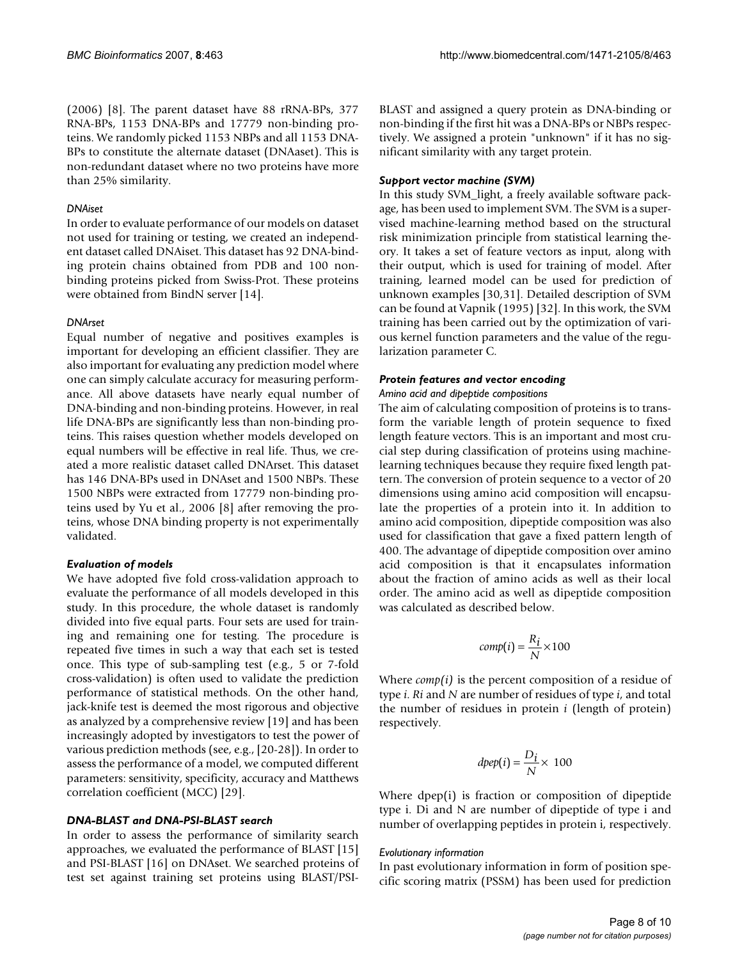(2006) [8]. The parent dataset have 88 rRNA-BPs, 377 RNA-BPs, 1153 DNA-BPs and 17779 non-binding proteins. We randomly picked 1153 NBPs and all 1153 DNA-BPs to constitute the alternate dataset (DNAaset). This is non-redundant dataset where no two proteins have more than 25% similarity.

#### *DNAiset*

In order to evaluate performance of our models on dataset not used for training or testing, we created an independent dataset called DNAiset. This dataset has 92 DNA-binding protein chains obtained from PDB and 100 nonbinding proteins picked from Swiss-Prot. These proteins were obtained from BindN server [14].

#### *DNArset*

Equal number of negative and positives examples is important for developing an efficient classifier. They are also important for evaluating any prediction model where one can simply calculate accuracy for measuring performance. All above datasets have nearly equal number of DNA-binding and non-binding proteins. However, in real life DNA-BPs are significantly less than non-binding proteins. This raises question whether models developed on equal numbers will be effective in real life. Thus, we created a more realistic dataset called DNArset. This dataset has 146 DNA-BPs used in DNAset and 1500 NBPs. These 1500 NBPs were extracted from 17779 non-binding proteins used by Yu et al., 2006 [8] after removing the proteins, whose DNA binding property is not experimentally validated.

#### *Evaluation of models*

We have adopted five fold cross-validation approach to evaluate the performance of all models developed in this study. In this procedure, the whole dataset is randomly divided into five equal parts. Four sets are used for training and remaining one for testing. The procedure is repeated five times in such a way that each set is tested once. This type of sub-sampling test (e.g., 5 or 7-fold cross-validation) is often used to validate the prediction performance of statistical methods. On the other hand, jack-knife test is deemed the most rigorous and objective as analyzed by a comprehensive review [19] and has been increasingly adopted by investigators to test the power of various prediction methods (see, e.g., [20-28]). In order to assess the performance of a model, we computed different parameters: sensitivity, specificity, accuracy and Matthews correlation coefficient (MCC) [29].

#### *DNA-BLAST and DNA-PSI-BLAST search*

In order to assess the performance of similarity search approaches, we evaluated the performance of BLAST [15] and PSI-BLAST [16] on DNAset. We searched proteins of test set against training set proteins using BLAST/PSI-

BLAST and assigned a query protein as DNA-binding or non-binding if the first hit was a DNA-BPs or NBPs respectively. We assigned a protein "unknown" if it has no significant similarity with any target protein.

#### *Support vector machine (SVM)*

In this study SVM\_light, a freely available software package, has been used to implement SVM. The SVM is a supervised machine-learning method based on the structural risk minimization principle from statistical learning theory. It takes a set of feature vectors as input, along with their output, which is used for training of model. After training, learned model can be used for prediction of unknown examples [30,31]. Detailed description of SVM can be found at Vapnik (1995) [32]. In this work, the SVM training has been carried out by the optimization of various kernel function parameters and the value of the regularization parameter C.

#### *Protein features and vector encoding*

#### *Amino acid and dipeptide compositions*

The aim of calculating composition of proteins is to transform the variable length of protein sequence to fixed length feature vectors. This is an important and most crucial step during classification of proteins using machinelearning techniques because they require fixed length pattern. The conversion of protein sequence to a vector of 20 dimensions using amino acid composition will encapsulate the properties of a protein into it. In addition to amino acid composition, dipeptide composition was also used for classification that gave a fixed pattern length of 400. The advantage of dipeptide composition over amino acid composition is that it encapsulates information about the fraction of amino acids as well as their local order. The amino acid as well as dipeptide composition was calculated as described below.

$$
comp(i) = \frac{R_i}{N} \times 100
$$

Where *comp(i)* is the percent composition of a residue of type *i*. *Ri* and *N* are number of residues of type *i*, and total the number of residues in protein *i* (length of protein) respectively.

$$
dpep(i) = \frac{D_i}{N} \times 100
$$

Where dpep(i) is fraction or composition of dipeptide type i. Di and N are number of dipeptide of type i and number of overlapping peptides in protein i, respectively.

#### *Evolutionary information*

In past evolutionary information in form of position specific scoring matrix (PSSM) has been used for prediction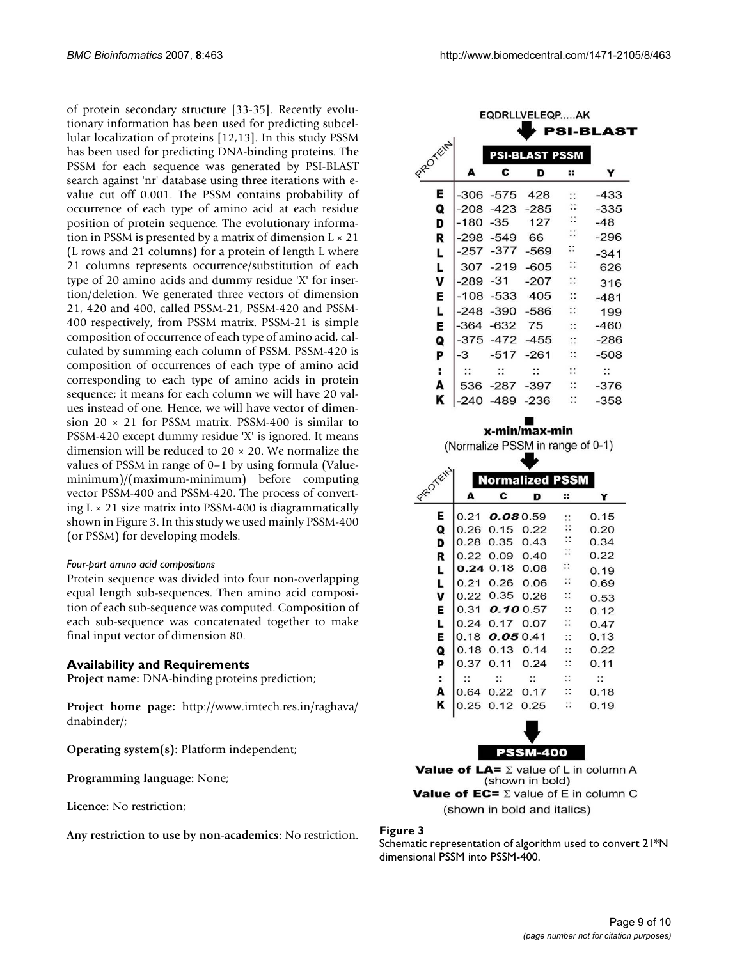of protein secondary structure [33-35]. Recently evolutionary information has been used for predicting subcellular localization of proteins [12,13]. In this study PSSM has been used for predicting DNA-binding proteins. The PSSM for each sequence was generated by PSI-BLAST search against 'nr' database using three iterations with evalue cut off 0.001. The PSSM contains probability of occurrence of each type of amino acid at each residue position of protein sequence. The evolutionary information in PSSM is presented by a matrix of dimension  $L \times 21$ (L rows and 21 columns) for a protein of length L where 21 columns represents occurrence/substitution of each type of 20 amino acids and dummy residue 'X' for insertion/deletion. We generated three vectors of dimension 21, 420 and 400, called PSSM-21, PSSM-420 and PSSM-400 respectively, from PSSM matrix. PSSM-21 is simple composition of occurrence of each type of amino acid, calculated by summing each column of PSSM. PSSM-420 is composition of occurrences of each type of amino acid corresponding to each type of amino acids in protein sequence; it means for each column we will have 20 values instead of one. Hence, we will have vector of dimension  $20 \times 21$  for PSSM matrix. PSSM-400 is similar to PSSM-420 except dummy residue 'X' is ignored. It means dimension will be reduced to 20 × 20. We normalize the values of PSSM in range of 0–1 by using formula (Valueminimum)/(maximum-minimum) before computing vector PSSM-400 and PSSM-420. The process of converting  $L \times 21$  size matrix into PSSM-400 is diagrammatically shown in Figure 3. In this study we used mainly PSSM-400 (or PSSM) for developing models.

#### *Four-part amino acid compositions*

Protein sequence was divided into four non-overlapping equal length sub-sequences. Then amino acid composition of each sub-sequence was computed. Composition of each sub-sequence was concatenated together to make final input vector of dimension 80.

#### **Availability and Requirements**

**Project name:** DNA-binding proteins prediction;

**Project home page:** [http://www.imtech.res.in/raghava/](http://www.imtech.res.in/raghava/dnabinder/) [dnabinder/;](http://www.imtech.res.in/raghava/dnabinder/)

**Operating system(s):** Platform independent;

**Programming language:** None;

**Licence:** No restriction;

Any restriction to use by non-academics: No restriction. **Figure 3 Figure 3** 

| EQDRLLVELEQPAK |                      |                      |                                  |                      |                                              |  |  |
|----------------|----------------------|----------------------|----------------------------------|----------------------|----------------------------------------------|--|--|
|                |                      |                      |                                  |                      | PSI-BLAS1                                    |  |  |
|                |                      |                      | <b>PSI-BLAST PSSM</b>            |                      |                                              |  |  |
| PROTEIN        | A                    | c                    | D                                | ∷                    | Y                                            |  |  |
| E              |                      | -306 -575 428        |                                  | $\vdots$             | $-433$                                       |  |  |
| Q              |                      | $-208 - 423$         | $-285$                           | $\vdots$             | $-335$                                       |  |  |
| D              | -180                 | $-35$                | 127                              | ∷                    | $-48$                                        |  |  |
| R              | $-298$               | $-549$               | 66                               | $\vdots$             | $-296$                                       |  |  |
| L              | -257                 | $-377$               | $-569$                           | $\vdots$             | $-341$                                       |  |  |
| L              |                      | 307 - 219            | $-605$                           | $\vdots$             | 626                                          |  |  |
| V              | $-289 - 31$          |                      | $-207$                           | $\vdots$             | 316                                          |  |  |
| E              |                      | $-108 - 533$         | 405                              | $\vdots$             | $-481$                                       |  |  |
| L              |                      | -248 -390 -586       |                                  | $\vdots$             | 199                                          |  |  |
| E              |                      | $-364 - 632$         | 75                               | $\vdots$             | $-460$                                       |  |  |
| Q              |                      | -375 -472 -455       |                                  | $\ddot{\cdot}$       | $-286$                                       |  |  |
| P              | -3                   |                      | $-517 -261$                      | $\vdots$             | $-508$                                       |  |  |
| ÷              | $\ddot{\phantom{a}}$ | $\ddot{\phantom{a}}$ | $\ddot{\phantom{a}}$             | $\vdots$             | ∷                                            |  |  |
| A              |                      | 536 -287             | $-397$                           | $\vdots$             | $-376$                                       |  |  |
| Κ              |                      | -240 -489 -236       |                                  | ∷                    | $-358$                                       |  |  |
|                |                      |                      |                                  |                      |                                              |  |  |
|                |                      |                      | x-min/max-min                    |                      |                                              |  |  |
|                |                      |                      | (Normalize PSSM in range of 0-1) |                      |                                              |  |  |
|                |                      |                      |                                  |                      |                                              |  |  |
|                |                      |                      |                                  |                      |                                              |  |  |
|                |                      |                      |                                  |                      |                                              |  |  |
|                |                      |                      | <b>Normalized PSSM</b>           |                      |                                              |  |  |
| PROTEIN        | A                    | c                    | D                                | ×                    | Y                                            |  |  |
| E              | 0.21                 | 0.080.59             |                                  | $\vdots$             | 0.15                                         |  |  |
| Q              | 0.26                 | $0.15$ $0.22$        |                                  | $\vdots$             | 0.20                                         |  |  |
| D              | 0.28                 | 0.35                 | 0.43                             | ።                    | 0.34                                         |  |  |
| R              | 0.22                 | 0.09                 | 0.40                             | $\vdots$             | 0.22                                         |  |  |
| L              |                      | 0.240.18             | 0.08                             | ።                    | 0.19                                         |  |  |
| L              | 0.21                 | 0.26                 | 0.06                             | $\vdots$             | 0.69                                         |  |  |
| V              | 0.22                 | 0.35                 | 0.26                             | $\vdots$             | 0.53                                         |  |  |
| E              |                      | $0.31$ 0.10 0.57     |                                  | ∷                    | 0.12                                         |  |  |
| L              |                      | $0.24$ 0.17          | 0.07                             | $\vdots$             | 0.47                                         |  |  |
| E              | 0.18                 | 0.050.41             |                                  | $\ddot{\phantom{a}}$ | 0.13                                         |  |  |
| Q              | 0.18                 | $0.13$ $0.14$        |                                  | ∷<br>∷               | 0.22<br>0.11                                 |  |  |
|                |                      | 0.37 0.11 0.24       |                                  | $\vdots$             | ∷.                                           |  |  |
| Ĩ.<br>A        |                      | 0.64 0.22 0.17       | $\sim 100$                       | Ω.                   | 0.18                                         |  |  |
| ĸ              |                      | $0.25$ 0.12          | 0.25                             | ∷                    | 0.19                                         |  |  |
|                |                      |                      |                                  |                      |                                              |  |  |
|                |                      |                      |                                  |                      |                                              |  |  |
|                |                      |                      | <b>PSSM-400</b>                  |                      |                                              |  |  |
|                |                      |                      |                                  |                      | Value of LA= $\Sigma$ value of L in column A |  |  |
|                |                      |                      | (shown in bold)                  |                      | Value of EC= $\Sigma$ value of E in column C |  |  |

Schematic representation of algorithm used to convert 21\*N dimensional PSSM into PSSM-400.